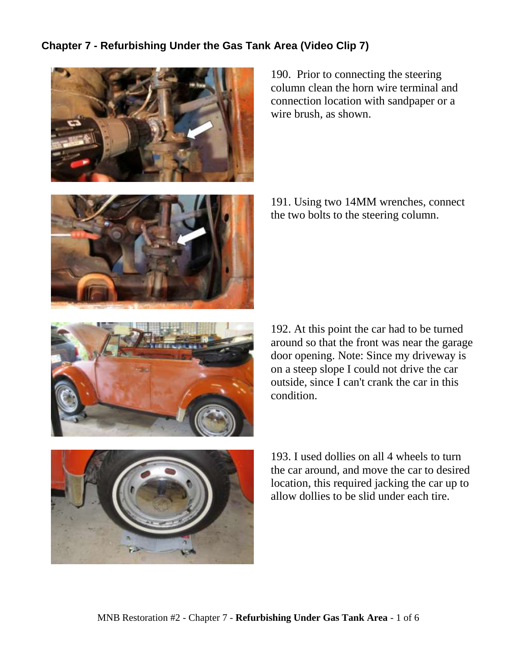## **Chapter 7 - Refurbishing Under the Gas Tank Area (Video Clip 7)**



190. Prior to connecting the steering column clean the horn wire terminal and connection location with sandpaper or a wire brush, as shown.



191. Using two 14MM wrenches, connect the two bolts to the steering column.



192. At this point the car had to be turned around so that the front was near the garage door opening. Note: Since my driveway is on a steep slope I could not drive the car outside, since I can't crank the car in this condition.



193. I used dollies on all 4 wheels to turn the car around, and move the car to desired location, this required jacking the car up to allow dollies to be slid under each tire.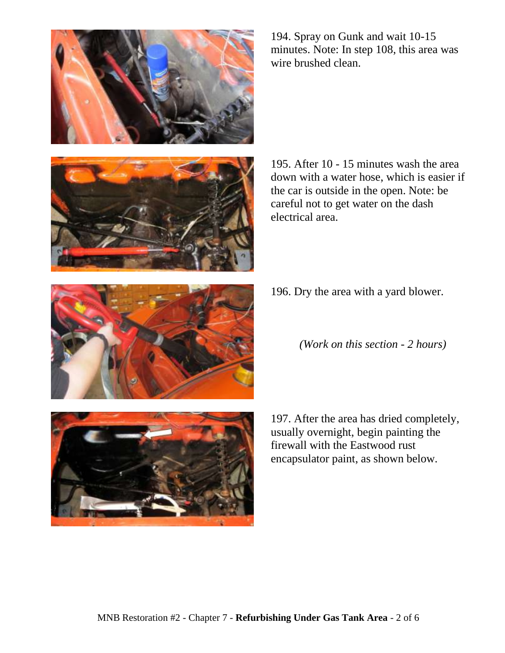



194. Spray on Gunk and wait 10-15 minutes. Note: In step 108, this area was wire brushed clean.

195. After 10 - 15 minutes wash the area down with a water hose, which is easier if the car is outside in the open. Note: be careful not to get water on the dash electrical area.

- 196. Dry the area with a yard blower.
	- *(Work on this section - 2 hours)*



197. After the area has dried completely, usually overnight, begin painting the firewall with the Eastwood rust encapsulator paint, as shown below.

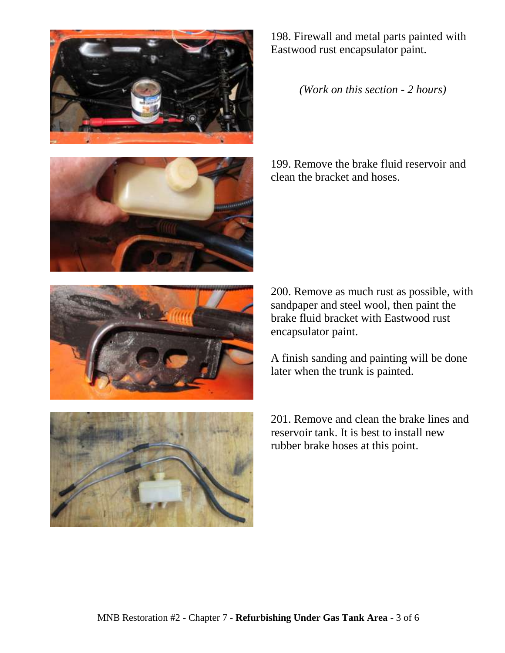







198. Firewall and metal parts painted with Eastwood rust encapsulator paint.

*(Work on this section - 2 hours)*

199. Remove the brake fluid reservoir and clean the bracket and hoses.

200. Remove as much rust as possible, with sandpaper and steel wool, then paint the brake fluid bracket with Eastwood rust encapsulator paint.

A finish sanding and painting will be done later when the trunk is painted.

201. Remove and clean the brake lines and reservoir tank. It is best to install new rubber brake hoses at this point.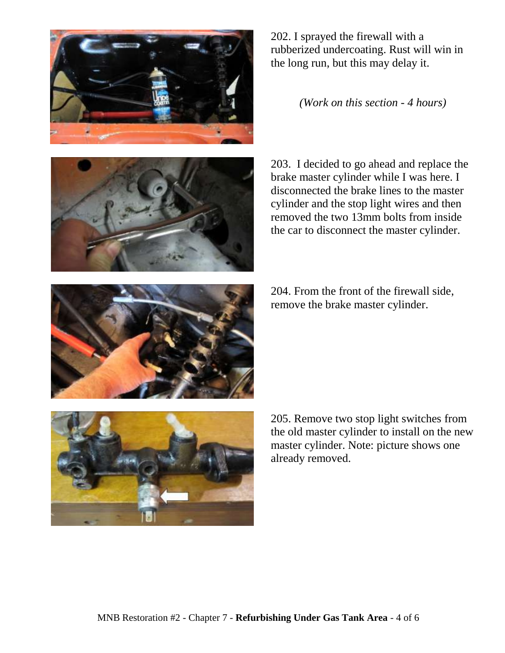



202. I sprayed the firewall with a rubberized undercoating. Rust will win in the long run, but this may delay it.

*(Work on this section - 4 hours)*

203. I decided to go ahead and replace the brake master cylinder while I was here. I disconnected the brake lines to the master cylinder and the stop light wires and then removed the two 13mm bolts from inside the car to disconnect the master cylinder.

204. From the front of the firewall side, remove the brake master cylinder.



205. Remove two stop light switches from the old master cylinder to install on the new master cylinder. Note: picture shows one already removed.

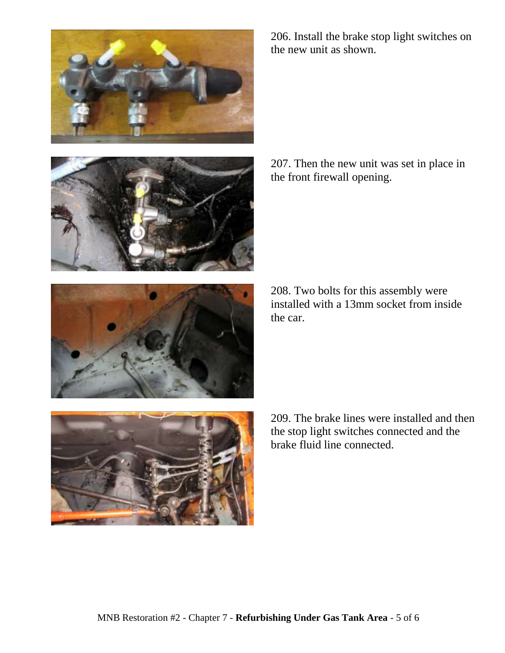





208. Two bolts for this assembly were installed with a 13mm socket from inside the car.

the front firewall opening.





206. Install the brake stop light switches on the new unit as shown.